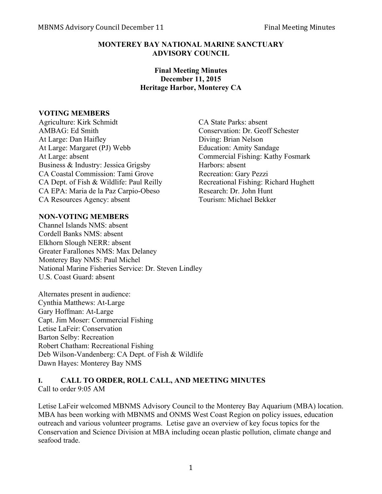#### **MONTEREY BAY NATIONAL MARINE SANCTUARY ADVISORY COUNCIL**

### **Final Meeting Minutes December 11, 2015 Heritage Harbor, Monterey CA**

#### **VOTING MEMBERS**

Agriculture: Kirk Schmidt CA State Parks: absent AMBAG: Ed Smith Conservation: Dr. Geoff Schester At Large: Dan Haifley Diving: Brian Nelson At Large: Margaret (PJ) Webb Education: Amity Sandage At Large: absent Commercial Fishing: Kathy Fosmark Business & Industry: Jessica Grigsby Harbors: absent CA Coastal Commission: Tami Grove Recreation: Gary Pezzi CA Dept. of Fish & Wildlife: Paul Reilly Recreational Fishing: Richard Hughett CA EPA: Maria de la Paz Carpio-Obeso Research: Dr. John Hunt CA Resources Agency: absent Tourism: Michael Bekker

### **NON-VOTING MEMBERS**

Channel Islands NMS: absent Cordell Banks NMS: absent Elkhorn Slough NERR: absent Greater Farallones NMS: Max Delaney Monterey Bay NMS: Paul Michel National Marine Fisheries Service: Dr. Steven Lindley U.S. Coast Guard: absent

Alternates present in audience: Cynthia Matthews: At-Large Gary Hoffman: At-Large Capt. Jim Moser: Commercial Fishing Letise LaFeir: Conservation Barton Selby: Recreation Robert Chatham: Recreational Fishing Deb Wilson-Vandenberg: CA Dept. of Fish & Wildlife Dawn Hayes: Monterey Bay NMS

#### **I. CALL TO ORDER, ROLL CALL, AND MEETING MINUTES** Call to order 9:05 AM

Letise LaFeir welcomed MBNMS Advisory Council to the Monterey Bay Aquarium (MBA) location. MBA has been working with MBNMS and ONMS West Coast Region on policy issues, education outreach and various volunteer programs. Letise gave an overview of key focus topics for the Conservation and Science Division at MBA including ocean plastic pollution, climate change and seafood trade.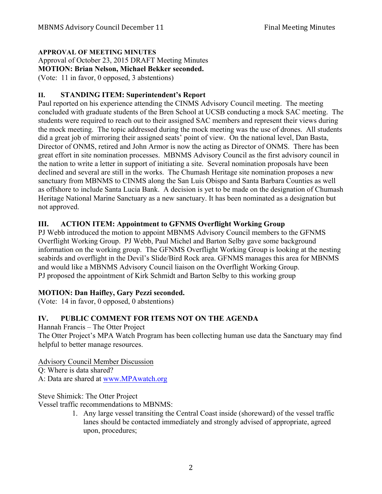### **APPROVAL OF MEETING MINUTES**

Approval of October 23, 2015 DRAFT Meeting Minutes

**MOTION: Brian Nelson, Michael Bekker seconded.**

(Vote: 11 in favor, 0 opposed, 3 abstentions)

### **II. STANDING ITEM: Superintendent's Report**

Paul reported on his experience attending the CINMS Advisory Council meeting. The meeting concluded with graduate students of the Bren School at UCSB conducting a mock SAC meeting. The students were required to reach out to their assigned SAC members and represent their views during the mock meeting. The topic addressed during the mock meeting was the use of drones. All students did a great job of mirroring their assigned seats' point of view. On the national level, Dan Basta, Director of ONMS, retired and John Armor is now the acting as Director of ONMS. There has been great effort in site nomination processes. MBNMS Advisory Council as the first advisory council in the nation to write a letter in support of initiating a site. Several nomination proposals have been declined and several are still in the works. The Chumash Heritage site nomination proposes a new sanctuary from MBNMS to CINMS along the San Luis Obispo and Santa Barbara Counties as well as offshore to include Santa Lucia Bank. A decision is yet to be made on the designation of Chumash Heritage National Marine Sanctuary as a new sanctuary. It has been nominated as a designation but not approved.

## **III. ACTION ITEM: Appointment to GFNMS Overflight Working Group**

PJ Webb introduced the motion to appoint MBNMS Advisory Council members to the GFNMS Overflight Working Group. PJ Webb, Paul Michel and Barton Selby gave some background information on the working group. The GFNMS Overflight Working Group is looking at the nesting seabirds and overflight in the Devil's Slide/Bird Rock area. GFNMS manages this area for MBNMS and would like a MBNMS Advisory Council liaison on the Overflight Working Group. PJ proposed the appointment of Kirk Schmidt and Barton Selby to this working group

## **MOTION: Dan Haifley, Gary Pezzi seconded.**

(Vote: 14 in favor, 0 opposed, 0 abstentions)

# **IV. PUBLIC COMMENT FOR ITEMS NOT ON THE AGENDA**

Hannah Francis – The Otter Project

The Otter Project's MPA Watch Program has been collecting human use data the Sanctuary may find helpful to better manage resources.

Advisory Council Member Discussion Q: Where is data shared? A: Data are shared at www.MPAwatch.org

Steve Shimick: The Otter Project

Vessel traffic recommendations to MBNMS:

1. Any large vessel transiting the Central Coast inside (shoreward) of the vessel traffic lanes should be contacted immediately and strongly advised of appropriate, agreed upon, procedures;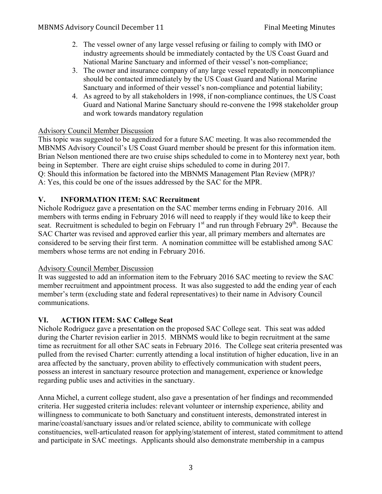- 2. The vessel owner of any large vessel refusing or failing to comply with IMO or industry agreements should be immediately contacted by the US Coast Guard and National Marine Sanctuary and informed of their vessel's non-compliance;
- 3. The owner and insurance company of any large vessel repeatedly in noncompliance should be contacted immediately by the US Coast Guard and National Marine Sanctuary and informed of their vessel's non-compliance and potential liability;
- 4. As agreed to by all stakeholders in 1998, if non-compliance continues, the US Coast Guard and National Marine Sanctuary should re-convene the 1998 stakeholder group and work towards mandatory regulation

### Advisory Council Member Discussion

This topic was suggested to be agendized for a future SAC meeting. It was also recommended the MBNMS Advisory Council's US Coast Guard member should be present for this information item. Brian Nelson mentioned there are two cruise ships scheduled to come in to Monterey next year, both being in September. There are eight cruise ships scheduled to come in during 2017. Q: Should this information be factored into the MBNMS Management Plan Review (MPR)? A: Yes, this could be one of the issues addressed by the SAC for the MPR.

### **V. INFORMATION ITEM: SAC Recruitment**

Nichole Rodriguez gave a presentation on the SAC member terms ending in February 2016. All members with terms ending in February 2016 will need to reapply if they would like to keep their seat. Recruitment is scheduled to begin on February  $1<sup>st</sup>$  and run through February  $29<sup>th</sup>$ . Because the SAC Charter was revised and approved earlier this year, all primary members and alternates are considered to be serving their first term. A nomination committee will be established among SAC members whose terms are not ending in February 2016.

### Advisory Council Member Discussion

It was suggested to add an information item to the February 2016 SAC meeting to review the SAC member recruitment and appointment process. It was also suggested to add the ending year of each member's term (excluding state and federal representatives) to their name in Advisory Council communications.

## **VI. ACTION ITEM: SAC College Seat**

Nichole Rodriguez gave a presentation on the proposed SAC College seat. This seat was added during the Charter revision earlier in 2015. MBNMS would like to begin recruitment at the same time as recruitment for all other SAC seats in February 2016. The College seat criteria presented was pulled from the revised Charter: currently attending a local institution of higher education, live in an area affected by the sanctuary, proven ability to effectively communication with student peers, possess an interest in sanctuary resource protection and management, experience or knowledge regarding public uses and activities in the sanctuary.

Anna Michel, a current college student, also gave a presentation of her findings and recommended criteria. Her suggested criteria includes: relevant volunteer or internship experience, ability and willingness to communicate to both Sanctuary and constituent interests, demonstrated interest in marine/coastal/sanctuary issues and/or related science, ability to communicate with college constituencies, well-articulated reason for applying/statement of interest, stated commitment to attend and participate in SAC meetings. Applicants should also demonstrate membership in a campus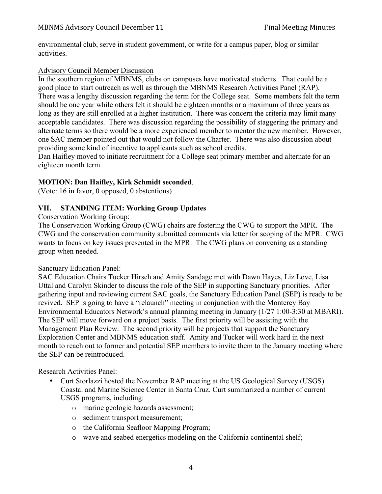environmental club, serve in student government, or write for a campus paper, blog or similar activities.

### Advisory Council Member Discussion

In the southern region of MBNMS, clubs on campuses have motivated students. That could be a good place to start outreach as well as through the MBNMS Research Activities Panel (RAP). There was a lengthy discussion regarding the term for the College seat. Some members felt the term should be one year while others felt it should be eighteen months or a maximum of three years as long as they are still enrolled at a higher institution. There was concern the criteria may limit many acceptable candidates. There was discussion regarding the possibility of staggering the primary and alternate terms so there would be a more experienced member to mentor the new member. However, one SAC member pointed out that would not follow the Charter. There was also discussion about providing some kind of incentive to applicants such as school credits.

Dan Haifley moved to initiate recruitment for a College seat primary member and alternate for an eighteen month term.

### **MOTION: Dan Haifley, Kirk Schmidt seconded**.

(Vote: 16 in favor, 0 opposed, 0 abstentions)

### **VII. STANDING ITEM: Working Group Updates**

Conservation Working Group:

The Conservation Working Group (CWG) chairs are fostering the CWG to support the MPR. The CWG and the conservation community submitted comments via letter for scoping of the MPR. CWG wants to focus on key issues presented in the MPR. The CWG plans on convening as a standing group when needed.

### Sanctuary Education Panel:

SAC Education Chairs Tucker Hirsch and Amity Sandage met with Dawn Hayes, Liz Love, Lisa Uttal and Carolyn Skinder to discuss the role of the SEP in supporting Sanctuary priorities. After gathering input and reviewing current SAC goals, the Sanctuary Education Panel (SEP) is ready to be revived. SEP is going to have a "relaunch" meeting in conjunction with the Monterey Bay Environmental Educators Network's annual planning meeting in January (1/27 1:00-3:30 at MBARI). The SEP will move forward on a project basis. The first priority will be assisting with the Management Plan Review. The second priority will be projects that support the Sanctuary Exploration Center and MBNMS education staff. Amity and Tucker will work hard in the next month to reach out to former and potential SEP members to invite them to the January meeting where the SEP can be reintroduced.

Research Activities Panel:

- Curt Storlazzi hosted the November RAP meeting at the US Geological Survey (USGS) Coastal and Marine Science Center in Santa Cruz. Curt summarized a number of current USGS programs, including:
	- o marine geologic hazards assessment;
	- o sediment transport measurement;
	- o the California Seafloor Mapping Program;
	- o wave and seabed energetics modeling on the California continental shelf;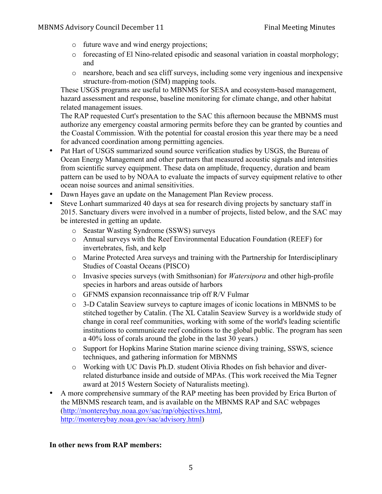- o future wave and wind energy projections;
- o forecasting of El Nino-related episodic and seasonal variation in coastal morphology; and
- o nearshore, beach and sea cliff surveys, including some very ingenious and inexpensive structure-from-motion (SfM) mapping tools.

These USGS programs are useful to MBNMS for SESA and ecosystem-based management, hazard assessment and response, baseline monitoring for climate change, and other habitat related management issues.

The RAP requested Curt's presentation to the SAC this afternoon because the MBNMS must authorize any emergency coastal armoring permits before they can be granted by counties and the Coastal Commission. With the potential for coastal erosion this year there may be a need for advanced coordination among permitting agencies.

- Pat Hart of USGS summarized sound source verification studies by USGS, the Bureau of Ocean Energy Management and other partners that measured acoustic signals and intensities from scientific survey equipment. These data on amplitude, frequency, duration and beam pattern can be used to by NOAA to evaluate the impacts of survey equipment relative to other ocean noise sources and animal sensitivities.
- Dawn Hayes gave an update on the Management Plan Review process.
- Steve Lonhart summarized 40 days at sea for research diving projects by sanctuary staff in 2015. Sanctuary divers were involved in a number of projects, listed below, and the SAC may be interested in getting an update.
	- o Seastar Wasting Syndrome (SSWS) surveys
	- o Annual surveys with the Reef Environmental Education Foundation (REEF) for invertebrates, fish, and kelp
	- o Marine Protected Area surveys and training with the Partnership for Interdisciplinary Studies of Coastal Oceans (PISCO)
	- o Invasive species surveys (with Smithsonian) for *Watersipora* and other high-profile species in harbors and areas outside of harbors
	- o GFNMS expansion reconnaissance trip off R/V Fulmar
	- o 3-D Catalin Seaview surveys to capture images of iconic locations in MBNMS to be stitched together by Catalin. (The XL Catalin Seaview Survey is a worldwide study of change in coral reef communities, working with some of the world's leading scientific institutions to communicate reef conditions to the global public. The program has seen a 40% loss of corals around the globe in the last 30 years.)
	- o Support for Hopkins Marine Station marine science diving training, SSWS, science techniques, and gathering information for MBNMS
	- o Working with UC Davis Ph.D. student Olivia Rhodes on fish behavior and diverrelated disturbance inside and outside of MPAs. (This work received the Mia Tegner award at 2015 Western Society of Naturalists meeting).
- A more comprehensive summary of the RAP meeting has been provided by Erica Burton of the MBNMS research team, and is available on the MBNMS RAP and SAC webpages (http://montereybay.noaa.gov/sac/rap/objectives.html, http://montereybay.noaa.gov/sac/advisory.html)

### **In other news from RAP members:**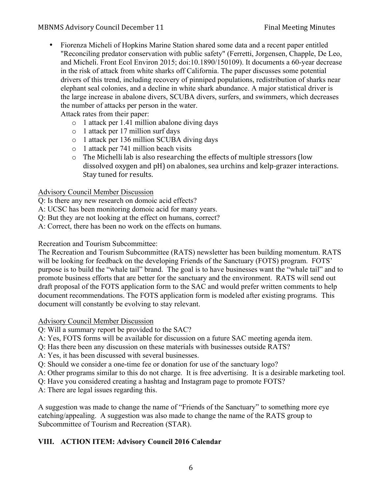### MBNMS Advisory Council December 11 Final Meeting Minutes

• Fiorenza Micheli of Hopkins Marine Station shared some data and a recent paper entitled "Reconciling predator conservation with public safety" (Ferretti, Jorgensen, Chapple, De Leo, and Micheli. Front Ecol Environ 2015; doi:10.1890/150109). It documents a 60-year decrease in the risk of attack from white sharks off California. The paper discusses some potential drivers of this trend, including recovery of pinniped populations, redistribution of sharks near elephant seal colonies, and a decline in white shark abundance. A major statistical driver is the large increase in abalone divers, SCUBA divers, surfers, and swimmers, which decreases the number of attacks per person in the water.

Attack rates from their paper:

- o 1 attack per 1.41 million abalone diving days
- o 1 attack per 17 million surf days
- o 1 attack per 136 million SCUBA diving days
- o 1 attack per 741 million beach visits
- $\circ$  The Michelli lab is also researching the effects of multiple stressors (low dissolved oxygen and pH) on abalones, sea urchins and kelp-grazer interactions. Stay tuned for results.

### Advisory Council Member Discussion

Q: Is there any new research on domoic acid effects?

- A: UCSC has been monitoring domoic acid for many years.
- Q: But they are not looking at the effect on humans, correct?
- A: Correct, there has been no work on the effects on humans.

Recreation and Tourism Subcommittee:

The Recreation and Tourism Subcommittee (RATS) newsletter has been building momentum. RATS will be looking for feedback on the developing Friends of the Sanctuary (FOTS) program. FOTS' purpose is to build the "whale tail" brand. The goal is to have businesses want the "whale tail" and to promote business efforts that are better for the sanctuary and the environment. RATS will send out draft proposal of the FOTS application form to the SAC and would prefer written comments to help document recommendations. The FOTS application form is modeled after existing programs. This document will constantly be evolving to stay relevant.

Advisory Council Member Discussion

- Q: Will a summary report be provided to the SAC?
- A: Yes, FOTS forms will be available for discussion on a future SAC meeting agenda item.
- Q: Has there been any discussion on these materials with businesses outside RATS?
- A: Yes, it has been discussed with several businesses.
- Q: Should we consider a one-time fee or donation for use of the sanctuary logo?
- A: Other programs similar to this do not charge. It is free advertising. It is a desirable marketing tool.
- Q: Have you considered creating a hashtag and Instagram page to promote FOTS?
- A: There are legal issues regarding this.

A suggestion was made to change the name of "Friends of the Sanctuary" to something more eye catching/appealing. A suggestion was also made to change the name of the RATS group to Subcommittee of Tourism and Recreation (STAR).

## **VIII. ACTION ITEM: Advisory Council 2016 Calendar**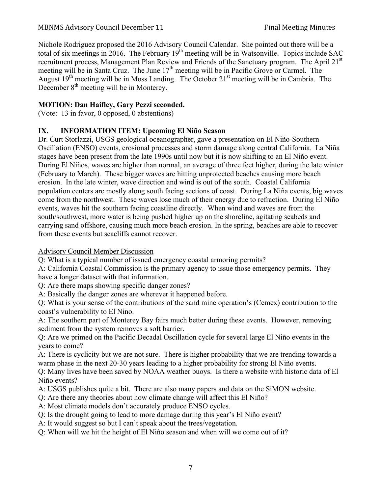Nichole Rodriguez proposed the 2016 Advisory Council Calendar. She pointed out there will be a total of six meetings in 2016. The February  $19^{th}$  meeting will be in Watsonville. Topics include SAC recruitment process, Management Plan Review and Friends of the Sanctuary program. The April 21<sup>st</sup> meeting will be in Santa Cruz. The June 17<sup>th</sup> meeting will be in Pacific Grove or Carmel. The August  $19<sup>th</sup>$  meeting will be in Moss Landing. The October  $21<sup>st</sup>$  meeting will be in Cambria. The December  $8<sup>th</sup>$  meeting will be in Monterey.

# **MOTION: Dan Haifley, Gary Pezzi seconded.**

(Vote: 13 in favor, 0 opposed, 0 abstentions)

# **IX. INFORMATION ITEM: Upcoming El Niño Season**

Dr. Curt Storlazzi, USGS geological oceanographer, gave a presentation on El Niño-Southern Oscillation (ENSO) events, erosional processes and storm damage along central California. La Niña stages have been present from the late 1990s until now but it is now shifting to an El Niño event. During El Niños, waves are higher than normal, an average of three feet higher, during the late winter (February to March). These bigger waves are hitting unprotected beaches causing more beach erosion. In the late winter, wave direction and wind is out of the south. Coastal California population centers are mostly along south facing sections of coast. During La Niña events, big waves come from the northwest. These waves lose much of their energy due to refraction. During El Niño events, waves hit the southern facing coastline directly. When wind and waves are from the south/southwest, more water is being pushed higher up on the shoreline, agitating seabeds and carrying sand offshore, causing much more beach erosion. In the spring, beaches are able to recover from these events but seacliffs cannot recover.

## Advisory Council Member Discussion

Q: What is a typical number of issued emergency coastal armoring permits?

A: California Coastal Commission is the primary agency to issue those emergency permits. They have a longer dataset with that information.

Q: Are there maps showing specific danger zones?

A: Basically the danger zones are wherever it happened before.

Q: What is your sense of the contributions of the sand mine operation's (Cemex) contribution to the coast's vulnerability to El Nino.

A: The southern part of Monterey Bay fairs much better during these events. However, removing sediment from the system removes a soft barrier.

Q: Are we primed on the Pacific Decadal Oscillation cycle for several large El Niño events in the years to come?

A: There is cyclicity but we are not sure. There is higher probability that we are trending towards a warm phase in the next 20-30 years leading to a higher probability for strong El Niño events.

Q: Many lives have been saved by NOAA weather buoys. Is there a website with historic data of El Niño events?

A: USGS publishes quite a bit. There are also many papers and data on the SiMON website.

Q: Are there any theories about how climate change will affect this El Niño?

A: Most climate models don't accurately produce ENSO cycles.

Q: Is the drought going to lead to more damage during this year's El Niño event?

A: It would suggest so but I can't speak about the trees/vegetation.

Q: When will we hit the height of El Niño season and when will we come out of it?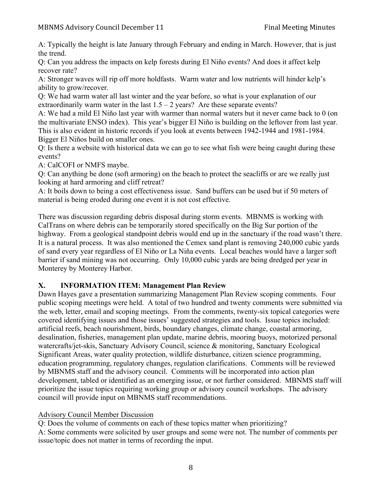A: Typically the height is late January through February and ending in March. However, that is just the trend.

Q: Can you address the impacts on kelp forests during El Niño events? And does it affect kelp recover rate?

A: Stronger waves will rip off more holdfasts. Warm water and low nutrients will hinder kelp's ability to grow/recover.

Q: We had warm water all last winter and the year before, so what is your explanation of our extraordinarily warm water in the last  $1.5 - 2$  years? Are these separate events?

A: We had a mild El Niño last year with warmer than normal waters but it never came back to 0 (on the multivariate ENSO index). This year's bigger El Niño is building on the leftover from last year. This is also evident in historic records if you look at events between 1942-1944 and 1981-1984. Bigger El Niños build on smaller ones.

Q: Is there a website with historical data we can go to see what fish were being caught during these events?

A: CalCOFI or NMFS maybe.

Q: Can anything be done (soft armoring) on the beach to protect the seacliffs or are we really just looking at hard armoring and cliff retreat?

A: It boils down to being a cost effectiveness issue. Sand buffers can be used but if 50 meters of material is being eroded during one event it is not cost effective.

There was discussion regarding debris disposal during storm events. MBNMS is working with CalTrans on where debris can be temporarily stored specifically on the Big Sur portion of the highway. From a geological standpoint debris would end up in the sanctuary if the road wasn't there. It is a natural process. It was also mentioned the Cemex sand plant is removing 240,000 cubic yards of sand every year regardless of El Niño or La Niña events. Local beaches would have a larger soft barrier if sand mining was not occurring. Only 10,000 cubic yards are being dredged per year in Monterey by Monterey Harbor.

# **X. INFORMATION ITEM: Management Plan Review**

Dawn Hayes gave a presentation summarizing Management Plan Review scoping comments. Four public scoping meetings were held. A total of two hundred and twenty comments were submitted via the web, letter, email and scoping meetings. From the comments, twenty-six topical categories were covered identifying issues and those issues' suggested strategies and tools. Issue topics included: artificial reefs, beach nourishment, birds, boundary changes, climate change, coastal armoring, desalination, fisheries, management plan update, marine debris, mooring buoys, motorized personal watercrafts/jet-skis, Sanctuary Advisory Council, science & monitoring, Sanctuary Ecological Significant Areas, water quality protection, wildlife disturbance, citizen science programming, education programming, regulatory changes, regulation clarifications. Comments will be reviewed by MBNMS staff and the advisory council. Comments will be incorporated into action plan development, tabled or identified as an emerging issue, or not further considered. MBNMS staff will prioritize the issue topics requiring working group or advisory council workshops. The advisory council will provide input on MBNMS staff recommendations.

## Advisory Council Member Discussion

Q: Does the volume of comments on each of these topics matter when prioritizing?

A: Some comments were solicited by user groups and some were not. The number of comments per issue/topic does not matter in terms of recording the input.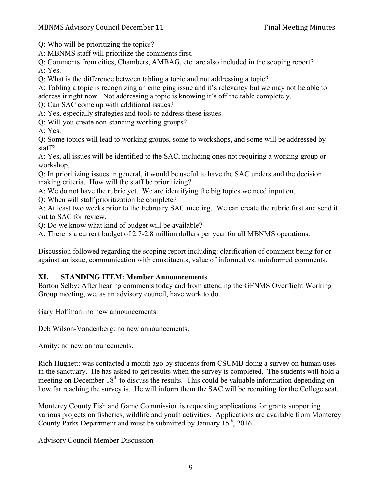Q: Who will be prioritizing the topics?

A: MBNMS staff will prioritize the comments first.

Q: Comments from cities, Chambers, AMBAG, etc. are also included in the scoping report? A: Yes.

Q: What is the difference between tabling a topic and not addressing a topic?

A: Tabling a topic is recognizing an emerging issue and it's relevancy but we may not be able to address it right now. Not addressing a topic is knowing it's off the table completely.

Q: Can SAC come up with additional issues?

A: Yes, especially strategies and tools to address these issues.

Q: Will you create non-standing working groups?

A: Yes.

Q: Some topics will lead to working groups, some to workshops, and some will be addressed by staff?

A: Yes, all issues will be identified to the SAC, including ones not requiring a working group or workshop.

Q: In prioritizing issues in general, it would be useful to have the SAC understand the decision making criteria. How will the staff be prioritizing?

A: We do not have the rubric yet. We are identifying the big topics we need input on.

Q: When will staff prioritization be complete?

A: At least two weeks prior to the February SAC meeting. We can create the rubric first and send it out to SAC for review.

Q: Do we know what kind of budget will be available?

A: There is a current budget of 2.7-2.8 million dollars per year for all MBNMS operations.

Discussion followed regarding the scoping report including: clarification of comment being for or against an issue, communication with constituents, value of informed vs. uninformed comments.

# **XI. STANDING ITEM: Member Announcements**

Barton Selby: After hearing comments today and from attending the GFNMS Overflight Working Group meeting, we, as an advisory council, have work to do.

Gary Hoffman: no new announcements.

Deb Wilson-Vandenberg: no new announcements.

Amity: no new announcements.

Rich Hughett: was contacted a month ago by students from CSUMB doing a survey on human uses in the sanctuary. He has asked to get results when the survey is completed. The students will hold a meeting on December  $18<sup>th</sup>$  to discuss the results. This could be valuable information depending on how far reaching the survey is. He will inform them the SAC will be recruiting for the College seat.

Monterey County Fish and Game Commission is requesting applications for grants supporting various projects on fisheries, wildlife and youth activities. Applications are available from Monterey County Parks Department and must be submitted by January 15<sup>th</sup>, 2016.

# Advisory Council Member Discussion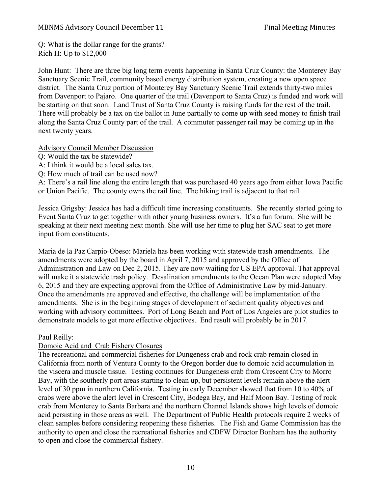#### MBNMS Advisory Council December 11 Final Meeting Minutes

Q: What is the dollar range for the grants? Rich H: Up to \$12,000

John Hunt: There are three big long term events happening in Santa Cruz County: the Monterey Bay Sanctuary Scenic Trail, community based energy distribution system, creating a new open space district. The Santa Cruz portion of Monterey Bay Sanctuary Scenic Trail extends thirty-two miles from Davenport to Pajaro. One quarter of the trail (Davenport to Santa Cruz) is funded and work will be starting on that soon. Land Trust of Santa Cruz County is raising funds for the rest of the trail. There will probably be a tax on the ballot in June partially to come up with seed money to finish trail along the Santa Cruz County part of the trail. A commuter passenger rail may be coming up in the next twenty years.

#### Advisory Council Member Discussion

- Q: Would the tax be statewide?
- A: I think it would be a local sales tax.
- Q: How much of trail can be used now?

A: There's a rail line along the entire length that was purchased 40 years ago from either Iowa Pacific or Union Pacific. The county owns the rail line. The hiking trail is adjacent to that rail.

Jessica Grigsby: Jessica has had a difficult time increasing constituents. She recently started going to Event Santa Cruz to get together with other young business owners. It's a fun forum. She will be speaking at their next meeting next month. She will use her time to plug her SAC seat to get more input from constituents.

Maria de la Paz Carpio-Obeso: Mariela has been working with statewide trash amendments. The amendments were adopted by the board in April 7, 2015 and approved by the Office of Administration and Law on Dec 2, 2015. They are now waiting for US EPA approval. That approval will make it a statewide trash policy. Desalination amendments to the Ocean Plan were adopted May 6, 2015 and they are expecting approval from the Office of Administrative Law by mid-January. Once the amendments are approved and effective, the challenge will be implementation of the amendments. She is in the beginning stages of development of sediment quality objectives and working with advisory committees. Port of Long Beach and Port of Los Angeles are pilot studies to demonstrate models to get more effective objectives. End result will probably be in 2017.

Paul Reilly:

### Domoic Acid and Crab Fishery Closures

The recreational and commercial fisheries for Dungeness crab and rock crab remain closed in California from north of Ventura County to the Oregon border due to domoic acid accumulation in the viscera and muscle tissue. Testing continues for Dungeness crab from Crescent City to Morro Bay, with the southerly port areas starting to clean up, but persistent levels remain above the alert level of 30 ppm in northern California. Testing in early December showed that from 10 to 40% of crabs were above the alert level in Crescent City, Bodega Bay, and Half Moon Bay. Testing of rock crab from Monterey to Santa Barbara and the northern Channel Islands shows high levels of domoic acid persisting in those areas as well. The Department of Public Health protocols require 2 weeks of clean samples before considering reopening these fisheries. The Fish and Game Commission has the authority to open and close the recreational fisheries and CDFW Director Bonham has the authority to open and close the commercial fishery.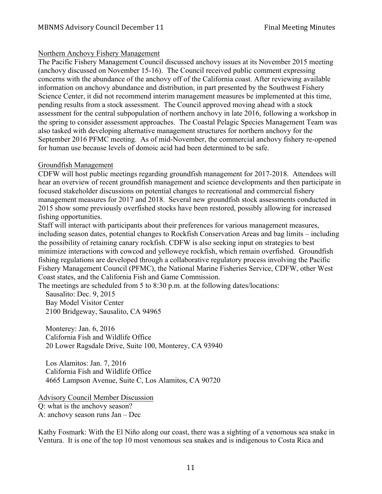### Northern Anchovy Fishery Management

The Pacific Fishery Management Council discussed anchovy issues at its November 2015 meeting (anchovy discussed on November 15-16). The Council received public comment expressing concerns with the abundance of the anchovy off of the California coast. After reviewing available information on anchovy abundance and distribution, in part presented by the Southwest Fishery Science Center, it did not recommend interim management measures be implemented at this time, pending results from a stock assessment. The Council approved moving ahead with a stock assessment for the central subpopulation of northern anchovy in late 2016, following a workshop in the spring to consider assessment approaches. The Coastal Pelagic Species Management Team was also tasked with developing alternative management structures for northern anchovy for the September 2016 PFMC meeting. As of mid-November, the commercial anchovy fishery re-opened for human use because levels of domoic acid had been determined to be safe.

### Groundfish Management

CDFW will host public meetings regarding groundfish management for 2017-2018. Attendees will hear an overview of recent groundfish management and science developments and then participate in focused stakeholder discussions on potential changes to recreational and commercial fishery management measures for 2017 and 2018. Several new groundfish stock assessments conducted in 2015 show some previously overfished stocks have been restored, possibly allowing for increased fishing opportunities.

Staff will interact with participants about their preferences for various management measures, including season dates, potential changes to Rockfish Conservation Areas and bag limits – including the possibility of retaining canary rockfish. CDFW is also seeking input on strategies to best minimize interactions with cowcod and yelloweye rockfish, which remain overfished. Groundfish fishing regulations are developed through a collaborative regulatory process involving the Pacific Fishery Management Council (PFMC), the National Marine Fisheries Service, CDFW, other West Coast states, and the California Fish and Game Commission.

The meetings are scheduled from 5 to 8:30 p.m. at the following dates/locations:

 Sausalito: Dec. 9, 2015 Bay Model Visitor Center 2100 Bridgeway, Sausalito, CA 94965

 Monterey: Jan. 6, 2016 California Fish and Wildlife Office 20 Lower Ragsdale Drive, Suite 100, Monterey, CA 93940

 Los Alamitos: Jan. 7, 2016 California Fish and Wildlife Office 4665 Lampson Avenue, Suite C, Los Alamitos, CA 90720

Advisory Council Member Discussion Q: what is the anchovy season? A: anchovy season runs Jan – Dec

Kathy Fosmark: With the El Niño along our coast, there was a sighting of a venomous sea snake in Ventura. It is one of the top 10 most venomous sea snakes and is indigenous to Costa Rica and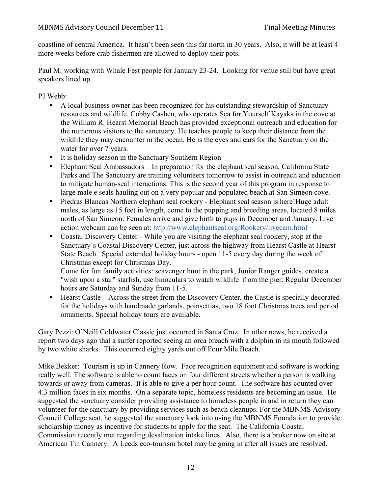coastline of central America. It hasn't been seen this far north in 30 years. Also, it will be at least 4 more weeks before crab fishermen are allowed to deploy their pots.

Paul M: working with Whale Fest people for January 23-24. Looking for venue still but have great speakers lined up.

PJ Webb:

- A local business owner has been recognized for his outstanding stewardship of Sanctuary resources and wildlife. Cubby Cashen, who operates Sea for Yourself Kayaks in the cove at the William R. Hearst Memorial Beach has provided exceptional outreach and education for the numerous visitors to the sanctuary. He teaches people to keep their distance from the wildlife they may encounter in the ocean. He is the eyes and ears for the Sanctuary on the water for over 7 years.
- It is holiday season in the Sanctuary Southern Region
- Elephant Seal Ambassadors In preparation for the elephant seal season, California State Parks and The Sanctuary are training volunteers tomorrow to assist in outreach and education to mitigate human-seal interactions. This is the second year of this program in response to large male e seals hauling out on a very popular and populated beach at San Simeon cove.
- Piedras Blancas Northern elephant seal rookery Elephant seal season is here! Huge adult males, as large as 15 feet in length, come to the pupping and breeding areas, located 8 miles north of San Simeon. Females arrive and give birth to pups in December and January. Live action webcam can be seen at: http://www.elephantseal.org/Rookery/livecam.html
- Coastal Discovery Center While you are visiting the elephant seal rookery, stop at the Sanctuary's Coastal Discovery Center, just across the highway from Hearst Castle at Hearst State Beach. Special extended holiday hours - open 11-5 every day during the week of Christmas except for Christmas Day.

Come for fun family activities: scavenger hunt in the park, Junior Ranger guides, create a "wish upon a star" starfish, use binoculars to watch wildlife from the pier. Regular December hours are Saturday and Sunday from 11-5.

• Hearst Castle – Across the street from the Discovery Center, the Castle is specially decorated for the holidays with handmade garlands, poinsettias, two 18 foot Christmas trees and period ornaments. Special holiday tours are available.

Gary Pezzi: O'Neill Coldwater Classic just occurred in Santa Cruz. In other news, he received a report two days ago that a surfer reported seeing an orca breach with a dolphin in its mouth followed by two white sharks. This occurred eighty yards out off Four Mile Beach.

Mike Bekker: Tourism is up in Cannery Row. Face recognition equipment and software is working really well. The software is able to count faces on four different streets whether a person is walking towards or away from cameras. It is able to give a per hour count. The software has counted over 4.3 million faces in six months. On a separate topic, homeless residents are becoming an issue. He suggested the sanctuary consider providing assistance to homeless people in and in return they can volunteer for the sanctuary by providing services such as beach cleanups. For the MBNMS Advisory Council College seat, he suggested the sanctuary look into using the MBNMS Foundation to provide scholarship money as incentive for students to apply for the seat. The California Coastal Commission recently met regarding desalination intake lines. Also, there is a broker now on site at American Tin Cannery. A Leeds eco-tourism hotel may be going in after all issues are resolved.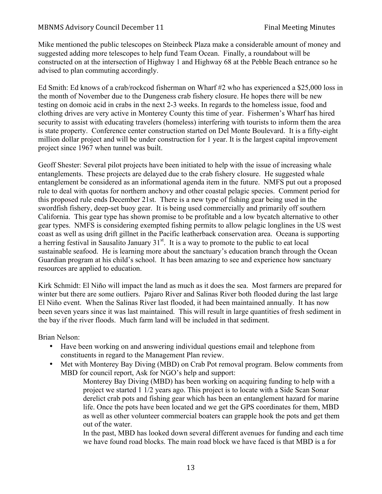#### MBNMS Advisory Council December 11 Final Meeting Minutes

Mike mentioned the public telescopes on Steinbeck Plaza make a considerable amount of money and suggested adding more telescopes to help fund Team Ocean. Finally, a roundabout will be constructed on at the intersection of Highway 1 and Highway 68 at the Pebble Beach entrance so he advised to plan commuting accordingly.

Ed Smith: Ed knows of a crab/rockcod fisherman on Wharf #2 who has experienced a \$25,000 loss in the month of November due to the Dungeness crab fishery closure. He hopes there will be new testing on domoic acid in crabs in the next 2-3 weeks. In regards to the homeless issue, food and clothing drives are very active in Monterey County this time of year. Fishermen's Wharf has hired security to assist with educating travelers (homeless) interfering with tourists to inform them the area is state property. Conference center construction started on Del Monte Boulevard. It is a fifty-eight million dollar project and will be under construction for 1 year. It is the largest capital improvement project since 1967 when tunnel was built.

Geoff Shester: Several pilot projects have been initiated to help with the issue of increasing whale entanglements. These projects are delayed due to the crab fishery closure. He suggested whale entanglement be considered as an informational agenda item in the future. NMFS put out a proposed rule to deal with quotas for northern anchovy and other coastal pelagic species. Comment period for this proposed rule ends December 21st. There is a new type of fishing gear being used in the swordfish fishery, deep-set buoy gear. It is being used commercially and primarily off southern California. This gear type has shown promise to be profitable and a low bycatch alternative to other gear types. NMFS is considering exempted fishing permits to allow pelagic longlines in the US west coast as well as using drift gillnet in the Pacific leatherback conservation area. Oceana is supporting a herring festival in Sausalito January  $31<sup>st</sup>$ . It is a way to promote to the public to eat local sustainable seafood. He is learning more about the sanctuary's education branch through the Ocean Guardian program at his child's school. It has been amazing to see and experience how sanctuary resources are applied to education.

Kirk Schmidt: El Niño will impact the land as much as it does the sea. Most farmers are prepared for winter but there are some outliers. Pajaro River and Salinas River both flooded during the last large El Niño event. When the Salinas River last flooded, it had been maintained annually. It has now been seven years since it was last maintained. This will result in large quantities of fresh sediment in the bay if the river floods. Much farm land will be included in that sediment.

Brian Nelson:

- Have been working on and answering individual questions email and telephone from constituents in regard to the Management Plan review.
- Met with Monterey Bay Diving (MBD) on Crab Pot removal program. Below comments from MBD for council report, Ask for NGO's help and support:

Monterey Bay Diving (MBD) has been working on acquiring funding to help with a project we started 1 1/2 years ago. This project is to locate with a Side Scan Sonar derelict crab pots and fishing gear which has been an entanglement hazard for marine life. Once the pots have been located and we get the GPS coordinates for them, MBD as well as other volunteer commercial boaters can grapple hook the pots and get them out of the water.

In the past, MBD has looked down several different avenues for funding and each time we have found road blocks. The main road block we have faced is that MBD is a for